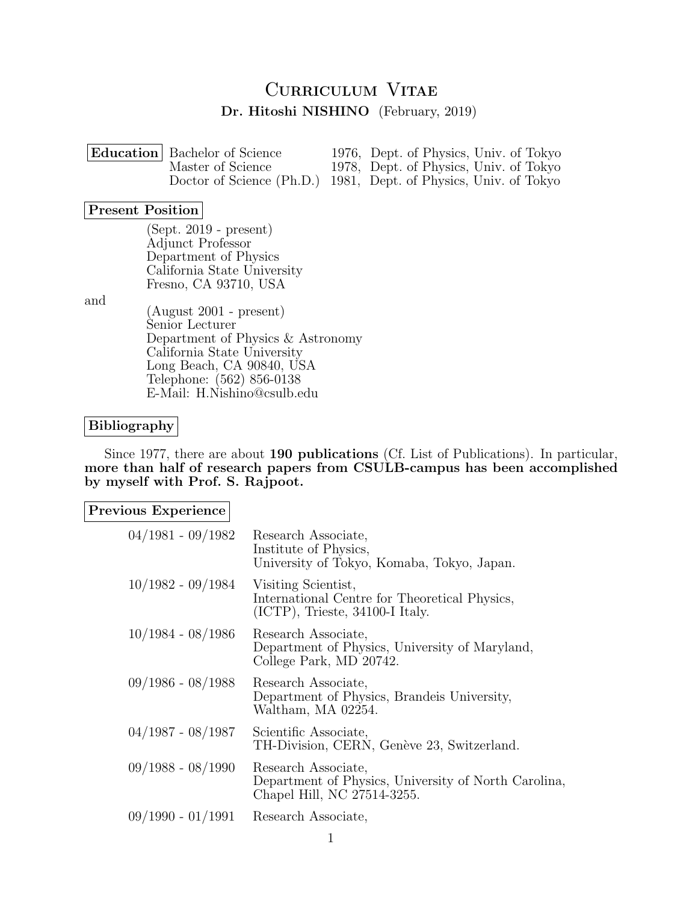# CURRICULUM VITAE Dr. Hitoshi NISHINO (February, 2019)

| <b>Education</b> Bachelor of Science | 1976, Dept. of Physics, Univ. of Tokyo                           |
|--------------------------------------|------------------------------------------------------------------|
| Master of Science                    | 1978, Dept. of Physics, Univ. of Tokyo                           |
|                                      | Doctor of Science (Ph.D.) 1981, Dept. of Physics, Univ. of Tokyo |

### Present Position

(Sept. 2019 - present) Adjunct Professor Department of Physics California State University Fresno, CA 93710, USA

and

(August 2001 - present) Senior Lecturer Department of Physics & Astronomy California State University Long Beach, CA 90840, USA Telephone: (562) 856-0138 E-Mail: H.Nishino@csulb.edu

### Bibliography

Since 1977, there are about 190 publications (Cf. List of Publications). In particular, more than half of research papers from CSULB-campus has been accomplished by myself with Prof. S. Rajpoot.

| Previous Experience |                                                                                                            |
|---------------------|------------------------------------------------------------------------------------------------------------|
| $04/1981 - 09/1982$ | Research Associate,<br>Institute of Physics,<br>University of Tokyo, Komaba, Tokyo, Japan.                 |
| $10/1982 - 09/1984$ | Visiting Scientist,<br>International Centre for Theoretical Physics,<br>$(ICTP)$ , Trieste, 34100-I Italy. |
| $10/1984 - 08/1986$ | Research Associate,<br>Department of Physics, University of Maryland,<br>College Park, MD 20742.           |
| $09/1986 - 08/1988$ | Research Associate,<br>Department of Physics, Brandeis University,<br>Waltham, MA 02254.                   |
| $04/1987 - 08/1987$ | Scientific Associate,<br>TH-Division, CERN, Genève 23, Switzerland.                                        |
| $09/1988 - 08/1990$ | Research Associate,<br>Department of Physics, University of North Carolina,<br>Chapel Hill, NC 27514-3255. |
| $09/1990 - 01/1991$ | Research Associate,                                                                                        |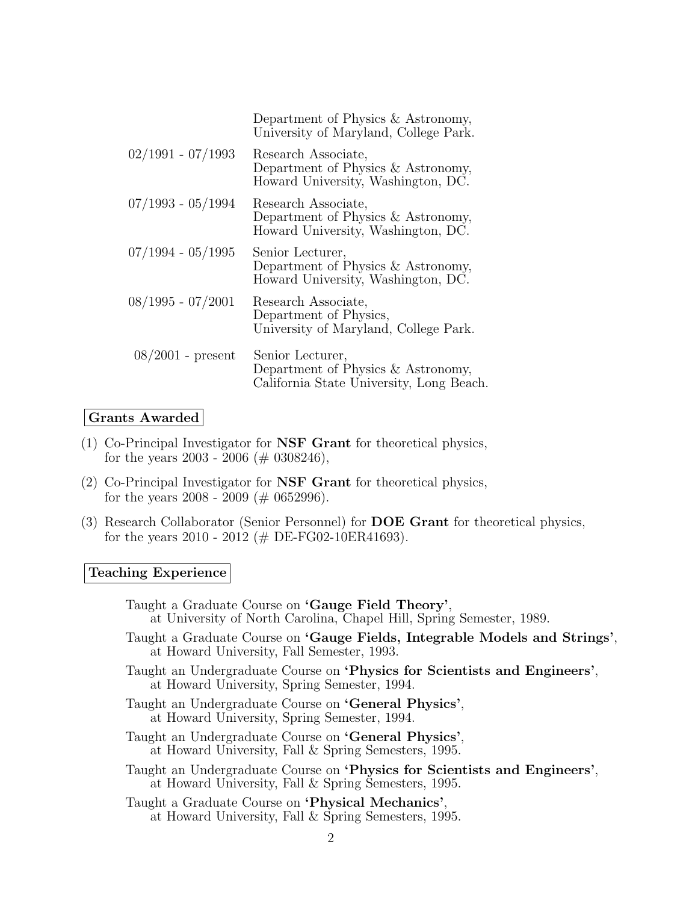|                     | Department of Physics & Astronomy,<br>University of Maryland, College Park.                        |
|---------------------|----------------------------------------------------------------------------------------------------|
| $02/1991 - 07/1993$ | Research Associate,<br>Department of Physics & Astronomy,<br>Howard University, Washington, DC.    |
| $07/1993 - 05/1994$ | Research Associate,<br>Department of Physics & Astronomy,<br>Howard University, Washington, DC.    |
| $07/1994 - 05/1995$ | Senior Lecturer,<br>Department of Physics $&$ Astronomy,<br>Howard University, Washington, DC.     |
| $08/1995 - 07/2001$ | Research Associate,<br>Department of Physics,<br>University of Maryland, College Park.             |
| $08/2001$ - present | Senior Lecturer,<br>Department of Physics & Astronomy,<br>California State University, Long Beach. |

# Grants Awarded

- (1) Co-Principal Investigator for NSF Grant for theoretical physics, for the years 2003 - 2006 ( $\#$  0308246),
- (2) Co-Principal Investigator for NSF Grant for theoretical physics, for the years 2008 - 2009 ( $\#$  0652996).
- (3) Research Collaborator (Senior Personnel) for DOE Grant for theoretical physics, for the years 2010 - 2012 (# DE-FG02-10ER41693).

# Teaching Experience

| Taught a Graduate Course on 'Gauge Field Theory',<br>at University of North Carolina, Chapel Hill, Spring Semester, 1989.           |
|-------------------------------------------------------------------------------------------------------------------------------------|
| Taught a Graduate Course on 'Gauge Fields, Integrable Models and Strings',<br>at Howard University, Fall Semester, 1993.            |
| Taught an Undergraduate Course on 'Physics for Scientists and Engineers'.<br>at Howard University, Spring Semester, 1994.           |
| Taught an Undergraduate Course on 'General Physics',<br>at Howard University, Spring Semester, 1994.                                |
| Taught an Undergraduate Course on 'General Physics',<br>at Howard University, Fall & Spring Semesters, 1995.                        |
| Taught an Undergraduate Course on 'Physics for Scientists and Engineers',<br>at Howard University, Fall $&$ Spring Semesters, 1995. |
| Taught a Graduate Course on 'Physical Mechanics',<br>at Howard University, Fall $&$ Spring Semesters, 1995.                         |
|                                                                                                                                     |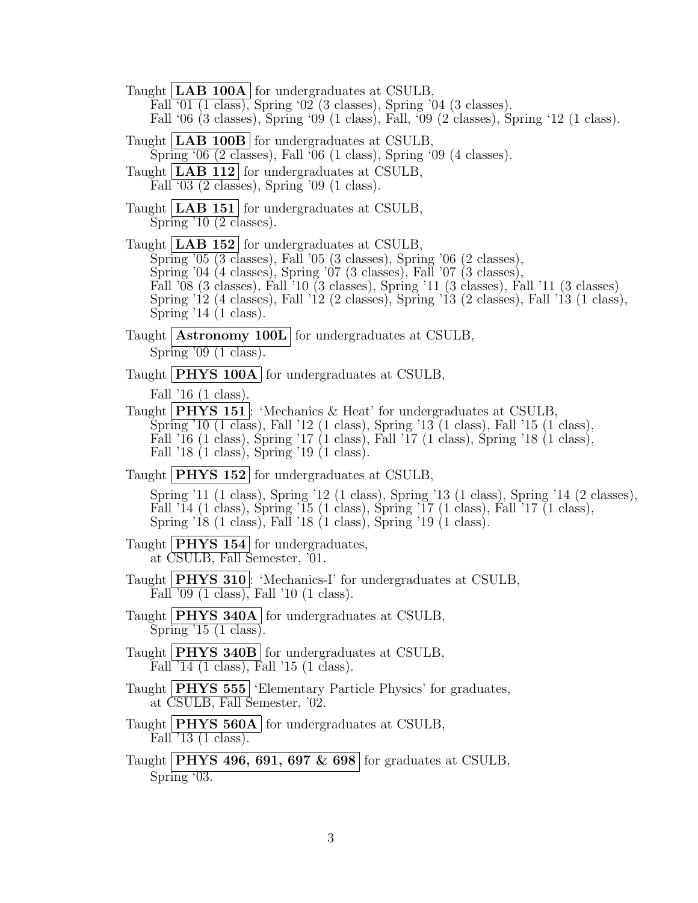Taught  $|**LAB 100A**|$  for undergraduates at CSULB, Fall '01 (1 class), Spring '02 (3 classes), Spring '04 (3 classes). Fall '06 (3 classes), Spring '09 (1 class), Fall, '09 (2 classes), Spring '12 (1 class). Taught | **LAB 100B** | for undergraduates at CSULB, Spring '06 (2 classes), Fall '06 (1 class), Spring '09 (4 classes). Taught | LAB 112 for undergraduates at CSULB, Fall '03 (2 classes), Spring '09 (1 class). Taught **LAB 151** for undergraduates at CSULB, Spring '10 (2 classes). Taught | LAB 152 for undergraduates at CSULB, Spring '05 (3 classes), Fall '05 (3 classes), Spring '06 (2 classes), Spring '04 (4 classes), Spring '07 (3 classes), Fall '07 (3 classes), Fall '08 (3 classes), Fall '10 (3 classes), Spring '11 (3 classes), Fall '11 (3 classes) Spring '12 (4 classes), Fall '12 (2 classes), Spring '13 (2 classes), Fall '13 (1 class), Spring '14 (1 class). Taught **Astronomy 100L** for undergraduates at CSULB, Spring '09 (1 class). Taught **PHYS 100A** for undergraduates at CSULB, Fall '16 (1 class). Taught **PHYS 151**: 'Mechanics & Heat' for undergraduates at CSULB, Spring '10 (1 class), Fall '12 (1 class), Spring '13 (1 class), Fall '15 (1 class), Fall '16 (1 class), Spring '17 (1 class), Fall '17 (1 class), Spring '18 (1 class), Fall '18 (1 class), Spring '19 (1 class). Taught **PHYS** 152 for undergraduates at CSULB, Spring '11 (1 class), Spring '12 (1 class), Spring '13 (1 class), Spring '14 (2 classes), Fall '14 (1 class), Spring '15 (1 class), Spring '17 (1 class), Fall '17 (1 class), Spring '18 (1 class), Fall '18 (1 class), Spring '19 (1 class). Taught |  $PHYS$  154 | for undergraduates, at CSULB, Fall Semester, '01. Taught **PHYS 310**: 'Mechanics-I' for undergraduates at CSULB, Fall '09 (1 class), Fall '10 (1 class). Taught **PHYS** 340A for undergraduates at CSULB, Spring '15 (1 class). Taught **PHYS 340B** for undergraduates at CSULB, Fall '14 (1 class), Fall '15 (1 class). Taught **PHYS** 555 'Elementary Particle Physics' for graduates, at CSULB, Fall Semester, '02. Taught **PHYS** 560A for undergraduates at CSULB, Fall '13 (1 class). Taught **PHYS 496, 691, 697 & 698** for graduates at CSULB, Spring '03.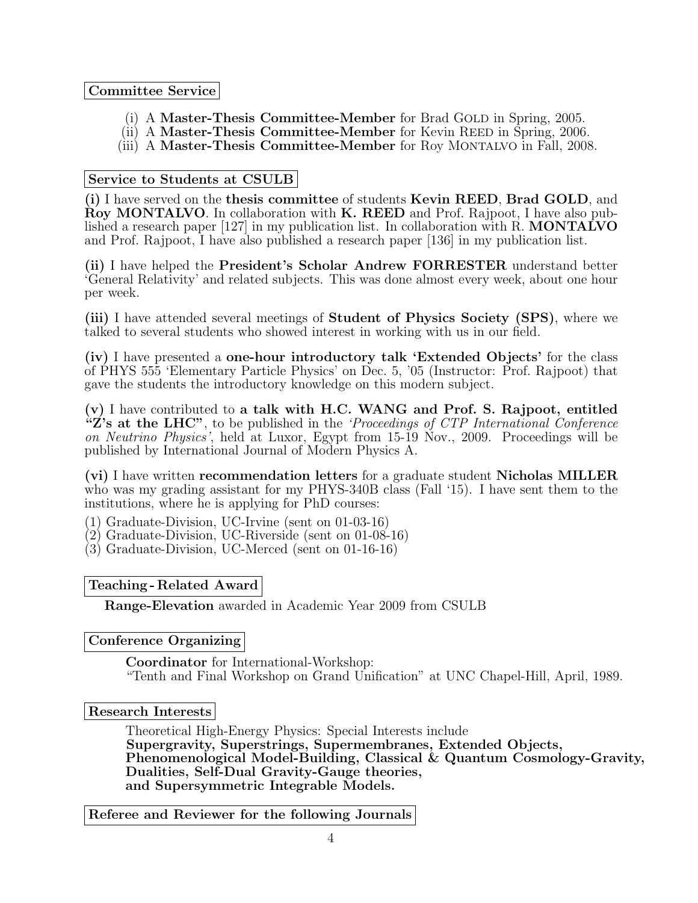# Committee Service

- (i) A Master-Thesis Committee-Member for Brad GOLD in Spring, 2005.
- (ii) A Master-Thesis Committee-Member for Kevin REED in Spring, 2006.
- (iii) A Master-Thesis Committee-Member for Roy MONTALVO in Fall, 2008.

# Service to Students at CSULB

(i) I have served on the thesis committee of students Kevin REED, Brad GOLD, and Roy MONTALVO. In collaboration with K. REED and Prof. Rajpoot, I have also published a research paper [127] in my publication list. In collaboration with R. MONTALVO and Prof. Rajpoot, I have also published a research paper [136] in my publication list.

(ii) I have helped the President's Scholar Andrew FORRESTER understand better 'General Relativity' and related subjects. This was done almost every week, about one hour per week.

(iii) I have attended several meetings of Student of Physics Society (SPS), where we talked to several students who showed interest in working with us in our field.

(iv) I have presented a one-hour introductory talk 'Extended Objects' for the class of PHYS 555 'Elementary Particle Physics' on Dec. 5, '05 (Instructor: Prof. Rajpoot) that gave the students the introductory knowledge on this modern subject.

(v) I have contributed to a talk with H.C. WANG and Prof. S. Rajpoot, entitled  ${}^{\alpha}Z$ 's at the LHC", to be published in the 'Proceedings of CTP International Conference on Neutrino Physics', held at Luxor, Egypt from 15-19 Nov., 2009. Proceedings will be published by International Journal of Modern Physics A.

(vi) I have written recommendation letters for a graduate student Nicholas MILLER who was my grading assistant for my PHYS-340B class (Fall '15). I have sent them to the institutions, where he is applying for PhD courses:

(1) Graduate-Division, UC-Irvine (sent on 01-03-16)

- (2) Graduate-Division, UC-Riverside (sent on 01-08-16)
- (3) Graduate-Division, UC-Merced (sent on 01-16-16)

Teaching - Related Award

Range-Elevation awarded in Academic Year 2009 from CSULB

Conference Organizing

Coordinator for International-Workshop: "Tenth and Final Workshop on Grand Unification" at UNC Chapel-Hill, April, 1989.

Research Interests

Theoretical High-Energy Physics: Special Interests include Supergravity, Superstrings, Supermembranes, Extended Objects, Phenomenological Model-Building, Classical & Quantum Cosmology-Gravity, Dualities, Self-Dual Gravity-Gauge theories, and Supersymmetric Integrable Models.

Referee and Reviewer for the following Journals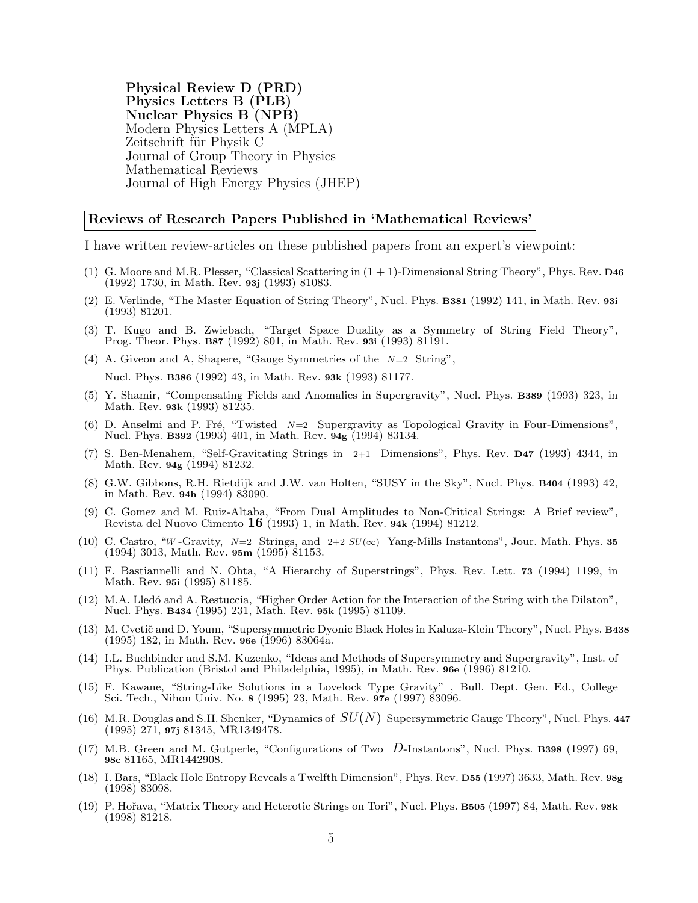Physical Review D (PRD) Physics Letters B (PLB) Nuclear Physics B (NPB) Modern Physics Letters A (MPLA) Zeitschrift für Physik C Journal of Group Theory in Physics Mathematical Reviews Journal of High Energy Physics (JHEP)

#### Reviews of Research Papers Published in 'Mathematical Reviews'

I have written review-articles on these published papers from an expert's viewpoint:

- (1) G. Moore and M.R. Plesser, "Classical Scattering in  $(1 + 1)$ -Dimensional String Theory", Phys. Rev. D46 (1992) 1730, in Math. Rev. 93j (1993) 81083.
- (2) E. Verlinde, "The Master Equation of String Theory", Nucl. Phys. B381 (1992) 141, in Math. Rev. 93i (1993) 81201.
- (3) T. Kugo and B. Zwiebach, "Target Space Duality as a Symmetry of String Field Theory", Prog. Theor. Phys. B87 (1992) 801, in Math. Rev. 93i (1993) 81191.
- (4) A. Giveon and A, Shapere, "Gauge Symmetries of the  $N=2$  String",

Nucl. Phys. B386 (1992) 43, in Math. Rev. 93k (1993) 81177.

- (5) Y. Shamir, "Compensating Fields and Anomalies in Supergravity", Nucl. Phys. B389 (1993) 323, in Math. Rev. 93k (1993) 81235.
- (6) D. Anselmi and P. Fré, "Twisted  $N=2$  Supergravity as Topological Gravity in Four-Dimensions", Nucl. Phys. B392 (1993) 401, in Math. Rev. 94g (1994) 83134.
- (7) S. Ben-Menahem, "Self-Gravitating Strings in 2+1 Dimensions", Phys. Rev. D47 (1993) 4344, in Math. Rev. 94g (1994) 81232.
- (8) G.W. Gibbons, R.H. Rietdijk and J.W. van Holten, "SUSY in the Sky", Nucl. Phys. B404 (1993) 42, in Math. Rev. 94h (1994) 83090.
- (9) C. Gomez and M. Ruiz-Altaba, "From Dual Amplitudes to Non-Critical Strings: A Brief review", Revista del Nuovo Cimento 16 (1993) 1, in Math. Rev. 94k (1994) 81212.
- (10) C. Castro, "W-Gravity,  $N=2$  Strings, and  $2+2 SU(\infty)$  Yang-Mills Instantons", Jour. Math. Phys. 35 (1994) 3013, Math. Rev. 95m (1995) 81153.
- (11) F. Bastiannelli and N. Ohta, "A Hierarchy of Superstrings", Phys. Rev. Lett. 73 (1994) 1199, in Math. Rev. 95i (1995) 81185.
- (12) M.A. Lled´o and A. Restuccia, "Higher Order Action for the Interaction of the String with the Dilaton", Nucl. Phys. B434 (1995) 231, Math. Rev. 95k (1995) 81109.
- (13) M. Cvetič and D. Youm, "Supersymmetric Dyonic Black Holes in Kaluza-Klein Theory", Nucl. Phys. B438 (1995) 182, in Math. Rev. 96e (1996) 83064a.
- (14) I.L. Buchbinder and S.M. Kuzenko, "Ideas and Methods of Supersymmetry and Supergravity", Inst. of Phys. Publication (Bristol and Philadelphia, 1995), in Math. Rev. 96e (1996) 81210.
- (15) F. Kawane, "String-Like Solutions in a Lovelock Type Gravity" , Bull. Dept. Gen. Ed., College Sci. Tech., Nihon Univ. No. 8 (1995) 23, Math. Rev. 97e (1997) 83096.
- (16) M.R. Douglas and S.H. Shenker, "Dynamics of  $SU(N)$  Supersymmetric Gauge Theory", Nucl. Phys. 447 (1995) 271, 97j 81345, MR1349478.
- (17) M.B. Green and M. Gutperle, "Configurations of Two D-Instantons", Nucl. Phys. B398 (1997) 69, 98c 81165, MR1442908.
- (18) I. Bars, "Black Hole Entropy Reveals a Twelfth Dimension", Phys. Rev. D55 (1997) 3633, Math. Rev. 98g (1998) 83098.
- (19) P. Hoˇrava, "Matrix Theory and Heterotic Strings on Tori", Nucl. Phys. B505 (1997) 84, Math. Rev. 98k (1998) 81218.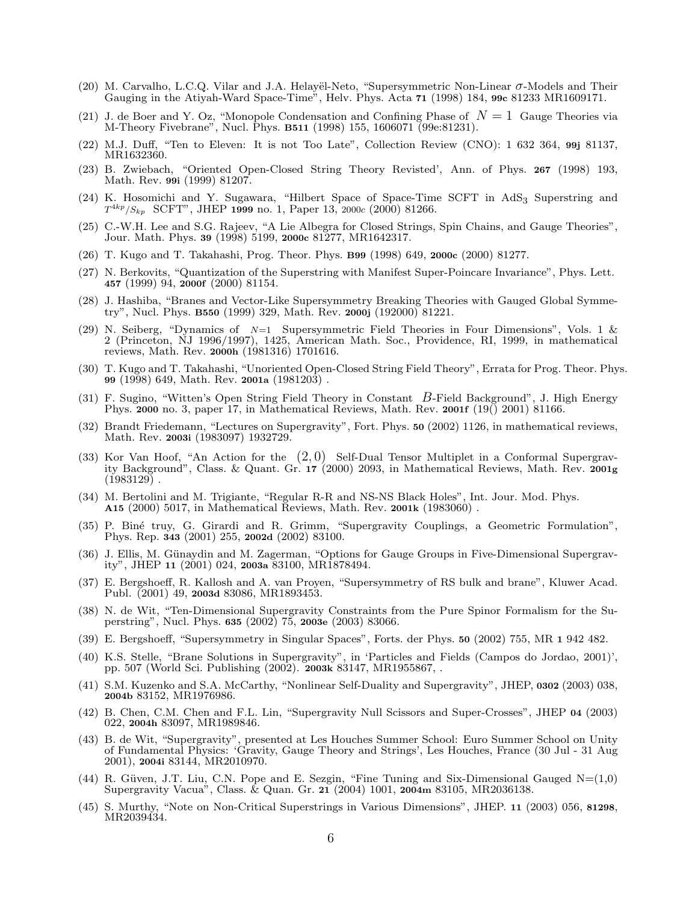- (20) M. Carvalho, L.C.Q. Vilar and J.A. Helayël-Neto, "Supersymmetric Non-Linear  $\sigma$ -Models and Their Gauging in the Atiyah-Ward Space-Time", Helv. Phys. Acta 71 (1998) 184, 99c 81233 MR1609171.
- (21) J. de Boer and Y. Oz, "Monopole Condensation and Confining Phase of  $N=1$  Gauge Theories via M-Theory Fivebrane", Nucl. Phys. B511 (1998) 155, 1606071 (99e:81231).
- (22) M.J. Duff, "Ten to Eleven: It is not Too Late", Collection Review (CNO): 1 632 364, 99j 81137, MR1632360.
- (23) B. Zwiebach, "Oriented Open-Closed String Theory Revisted', Ann. of Phys. 267 (1998) 193, Math. Rev. 99i (1999) 81207.
- (24) K. Hosomichi and Y. Sugawara, "Hilbert Space of Space-Time SCFT in AdS3 Superstring and  $T^{4kp}/S_{kp}$  SCFT", JHEP 1999 no. 1, Paper 13, 2000c (2000) 81266.
- (25) C.-W.H. Lee and S.G. Rajeev, "A Lie Albegra for Closed Strings, Spin Chains, and Gauge Theories", Jour. Math. Phys. 39 (1998) 5199, 2000c 81277, MR1642317.
- (26) T. Kugo and T. Takahashi, Prog. Theor. Phys. B99 (1998) 649, 2000c (2000) 81277.
- (27) N. Berkovits, "Quantization of the Superstring with Manifest Super-Poincare Invariance", Phys. Lett. 457 (1999) 94, 2000f (2000) 81154.
- (28) J. Hashiba, "Branes and Vector-Like Supersymmetry Breaking Theories with Gauged Global Symmetry", Nucl. Phys. B550 (1999) 329, Math. Rev. 2000j (192000) 81221.
- (29) N. Seiberg, "Dynamics of  $N=1$  Supersymmetric Field Theories in Four Dimensions", Vols. 1 & 2 (Princeton, NJ 1996/1997), 1425, American Math. Soc., Providence, RI, 1999, in mathematical reviews, Math. Rev. 2000h (1981316) 1701616.
- (30) T. Kugo and T. Takahashi, "Unoriented Open-Closed String Field Theory", Errata for Prog. Theor. Phys. 99 (1998) 649, Math. Rev. 2001a (1981203) .
- (31) F. Sugino, "Witten's Open String Field Theory in Constant B-Field Background", J. High Energy Phys. 2000 no. 3, paper 17, in Mathematical Reviews, Math. Rev. 2001f  $(19() 2001) 81166$ .
- (32) Brandt Friedemann, "Lectures on Supergravity", Fort. Phys. 50 (2002) 1126, in mathematical reviews, Math. Rev. 2003i (1983097) 1932729.
- (33) Kor Van Hoof, "An Action for the  $(2,0)$  Self-Dual Tensor Multiplet in a Conformal Supergravity Background", Class. & Quant. Gr. 17 (2000) 2093, in Mathematical Reviews, Math. Rev. 2001g  $(1983129)$ .
- (34) M. Bertolini and M. Trigiante, "Regular R-R and NS-NS Black Holes", Int. Jour. Mod. Phys. A15 (2000) 5017, in Mathematical Reviews, Math. Rev. 2001k (1983060) .
- (35) P. Bin´e truy, G. Girardi and R. Grimm, "Supergravity Couplings, a Geometric Formulation", Phys. Rep. 343 (2001) 255, 2002d (2002) 83100.
- (36) J. Ellis, M. Günaydin and M. Zagerman, "Options for Gauge Groups in Five-Dimensional Supergravity", JHEP 11 (2001) 024, 2003a 83100, MR1878494.
- (37) E. Bergshoeff, R. Kallosh and A. van Proyen, "Supersymmetry of RS bulk and brane", Kluwer Acad. Publ. (2001) 49, 2003d 83086, MR1893453.
- (38) N. de Wit, "Ten-Dimensional Supergravity Constraints from the Pure Spinor Formalism for the Superstring", Nucl. Phys. 635 (2002) 75, 2003e (2003) 83066.
- (39) E. Bergshoeff, "Supersymmetry in Singular Spaces", Forts. der Phys. 50 (2002) 755, MR 1 942 482.
- (40) K.S. Stelle, "Brane Solutions in Supergravity", in 'Particles and Fields (Campos do Jordao, 2001)', pp. 507 (World Sci. Publishing (2002). 2003k 83147, MR1955867, .
- (41) S.M. Kuzenko and S.A. McCarthy, "Nonlinear Self-Duality and Supergravity", JHEP, 0302 (2003) 038, 2004b 83152, MR1976986.
- (42) B. Chen, C.M. Chen and F.L. Lin, "Supergravity Null Scissors and Super-Crosses", JHEP 04 (2003) 022, 2004h 83097, MR1989846.
- (43) B. de Wit, "Supergravity", presented at Les Houches Summer School: Euro Summer School on Unity of Fundamental Physics: 'Gravity, Gauge Theory and Strings', Les Houches, France (30 Jul - 31 Aug 2001), 2004i 83144, MR2010970.
- $(44)$  R. Güven, J.T. Liu, C.N. Pope and E. Sezgin, "Fine Tuning and Six-Dimensional Gauged N= $(1,0)$ Supergravity Vacua", Class. & Quan. Gr. 21 (2004) 1001, 2004m 83105, MR2036138.
- (45) S. Murthy, "Note on Non-Critical Superstrings in Various Dimensions", JHEP. 11 (2003) 056, 81298, MR2039434.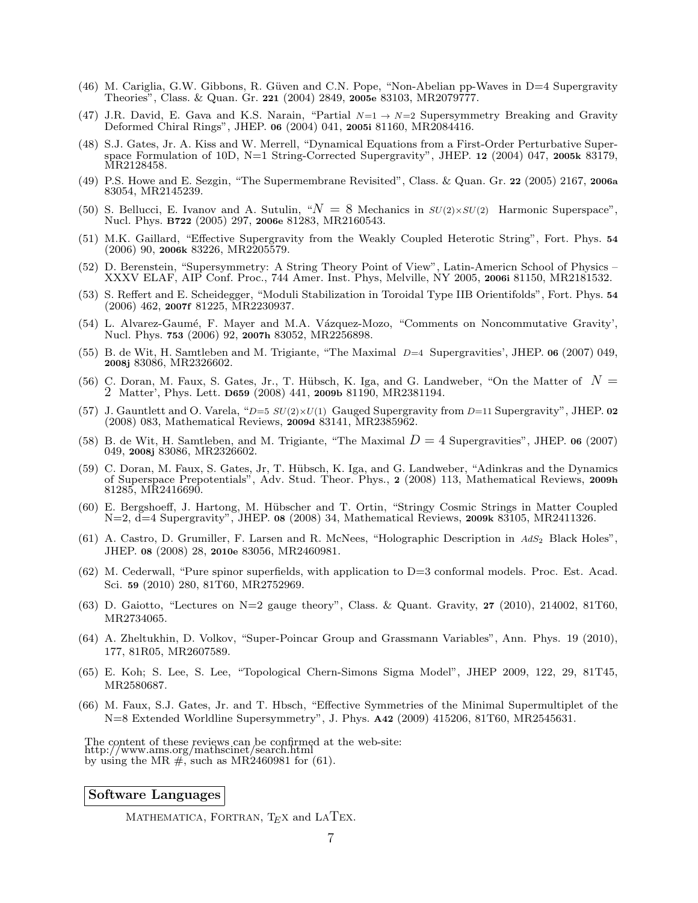- (46) M. Cariglia, G.W. Gibbons, R. Güven and C.N. Pope, "Non-Abelian pp-Waves in D=4 Supergravity Theories", Class. & Quan. Gr. 221 (2004) 2849, 2005e 83103, MR2079777.
- (47) J.R. David, E. Gava and K.S. Narain, "Partial  $N=1 \rightarrow N=2$  Supersymmetry Breaking and Gravity Deformed Chiral Rings", JHEP. 06 (2004) 041, 2005i 81160, MR2084416.
- (48) S.J. Gates, Jr. A. Kiss and W. Merrell, "Dynamical Equations from a First-Order Perturbative Superspace Formulation of 10D, N=1 String-Corrected Supergravity", JHEP. 12 (2004) 047, 2005k 83179, MR2128458.
- (49) P.S. Howe and E. Sezgin, "The Supermembrane Revisited", Class. & Quan. Gr. 22 (2005) 2167, 2006a 83054, MR2145239.
- (50) S. Bellucci, E. Ivanov and A. Sutulin, " $N = 8$  Mechanics in  $SU(2) \times SU(2)$  Harmonic Superspace", Nucl. Phys. B722 (2005) 297, 2006e 81283, MR2160543.
- (51) M.K. Gaillard, "Effective Supergravity from the Weakly Coupled Heterotic String", Fort. Phys. 54 (2006) 90, 2006k 83226, MR2205579.
- (52) D. Berenstein, "Supersymmetry: A String Theory Point of View", Latin-Americn School of Physics XXXV ELAF, AIP Conf. Proc., 744 Amer. Inst. Phys, Melville, NY 2005, 2006i 81150, MR2181532.
- (53) S. Reffert and E. Scheidegger, "Moduli Stabilization in Toroidal Type IIB Orientifolds", Fort. Phys. 54 (2006) 462, 2007f 81225, MR2230937.
- (54) L. Alvarez-Gaumé, F. Mayer and M.A. Vázquez-Mozo, "Comments on Noncommutative Gravity', Nucl. Phys. 753 (2006) 92, 2007h 83052, MR2256898.
- (55) B. de Wit, H. Samtleben and M. Trigiante, "The Maximal D=4 Supergravities', JHEP. 06 (2007) 049, 2008j 83086, MR2326602.
- (56) C. Doran, M. Faux, S. Gates, Jr., T. Hübsch, K. Iga, and G. Landweber, "On the Matter of  $N =$ 2 Matter', Phys. Lett. D659 (2008) 441, 2009b 81190, MR2381194.
- (57) J. Gauntlett and O. Varela, " $D=5 SU(2)\times U(1)$  Gauged Supergravity from  $D=11$  Supergravity", JHEP. 02 (2008) 083, Mathematical Reviews, 2009d 83141, MR2385962.
- (58) B. de Wit, H. Samtleben, and M. Trigiante, "The Maximal  $D = 4$  Supergravities", JHEP. 06 (2007) 049, 2008j 83086, MR2326602.
- (59) C. Doran, M. Faux, S. Gates, Jr, T. H¨ubsch, K. Iga, and G. Landweber, "Adinkras and the Dynamics of Superspace Prepotentials", Adv. Stud. Theor. Phys., 2 (2008) 113, Mathematical Reviews, 2009h 81285, MR2416690.
- (60) E. Bergshoeff, J. Hartong, M. H¨ubscher and T. Ortin, "Stringy Cosmic Strings in Matter Coupled N=2, d=4 Supergravity", JHEP. 08 (2008) 34, Mathematical Reviews, 2009k 83105, MR2411326.
- (61) A. Castro, D. Grumiller, F. Larsen and R. McNees, "Holographic Description in  $AdS_2$  Black Holes", JHEP. 08 (2008) 28, 2010e 83056, MR2460981.
- $(62)$  M. Cederwall, "Pure spinor superfields, with application to D=3 conformal models. Proc. Est. Acad. Sci. 59 (2010) 280, 81T60, MR2752969.
- $(63)$  D. Gaiotto, "Lectures on N=2 gauge theory", Class. & Quant. Gravity, 27 (2010), 214002, 81T60, MR2734065.
- (64) A. Zheltukhin, D. Volkov, "Super-Poincar Group and Grassmann Variables", Ann. Phys. 19 (2010), 177, 81R05, MR2607589.
- (65) E. Koh; S. Lee, S. Lee, "Topological Chern-Simons Sigma Model", JHEP 2009, 122, 29, 81T45, MR2580687.
- (66) M. Faux, S.J. Gates, Jr. and T. Hbsch, "Effective Symmetries of the Minimal Supermultiplet of the N=8 Extended Worldline Supersymmetry", J. Phys. A42 (2009) 415206, 81T60, MR2545631.

The content of these reviews can be confirmed at the web-site: http://www.ams.org/mathscinet/search.html by using the MR  $\#$ , such as MR2460981 for (61).

#### Software Languages

MATHEMATICA, FORTRAN,  $T$ <sub>E</sub>X and LATEX.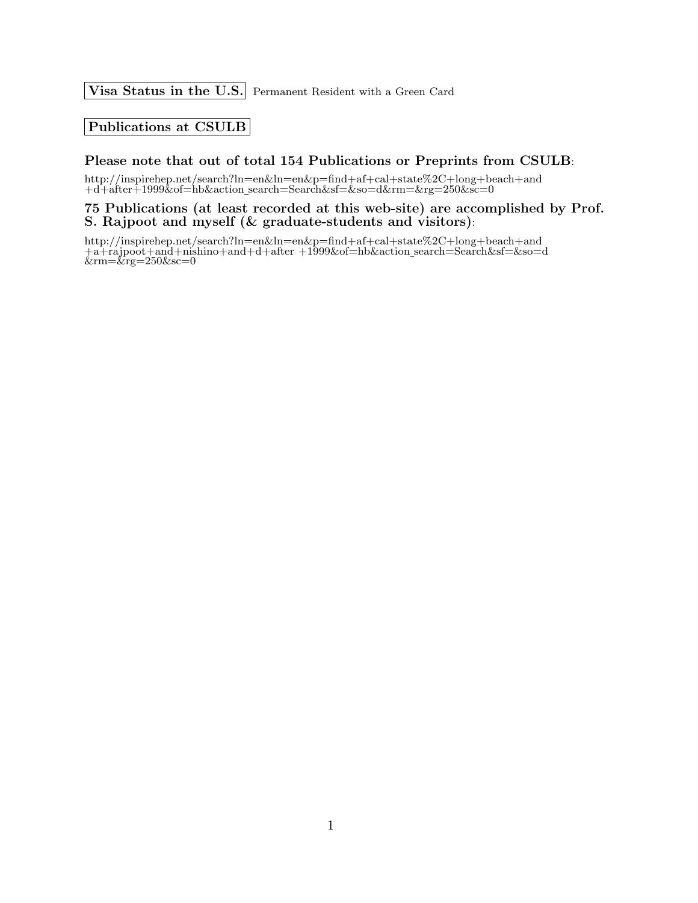Visa Status in the U.S. Permanent Resident with a Green Card

### Publications at CSULB

## Please note that out of total 154 Publications or Preprints from CSULB:

http://inspirehep.net/search?ln=en&ln=en&p=find+af+cal+state%2C+long+beach+and +d+after+1999&of=hb&action search=Search&sf=&so=d&rm=&rg=250&sc=0

#### 75 Publications (at least recorded at this web-site) are accomplished by Prof. S. Rajpoot and myself (& graduate-students and visitors):

http://inspirehep.net/search?ln=en&ln=en&p=find+af+cal+state%2C+long+beach+and +a+rajpoot+and+nishino+and+d+after +1999&of=hb&action search=Search&sf=&so=d  $&\rm{rm}=\&\rm{rg}=250\&\rm{sc}=0$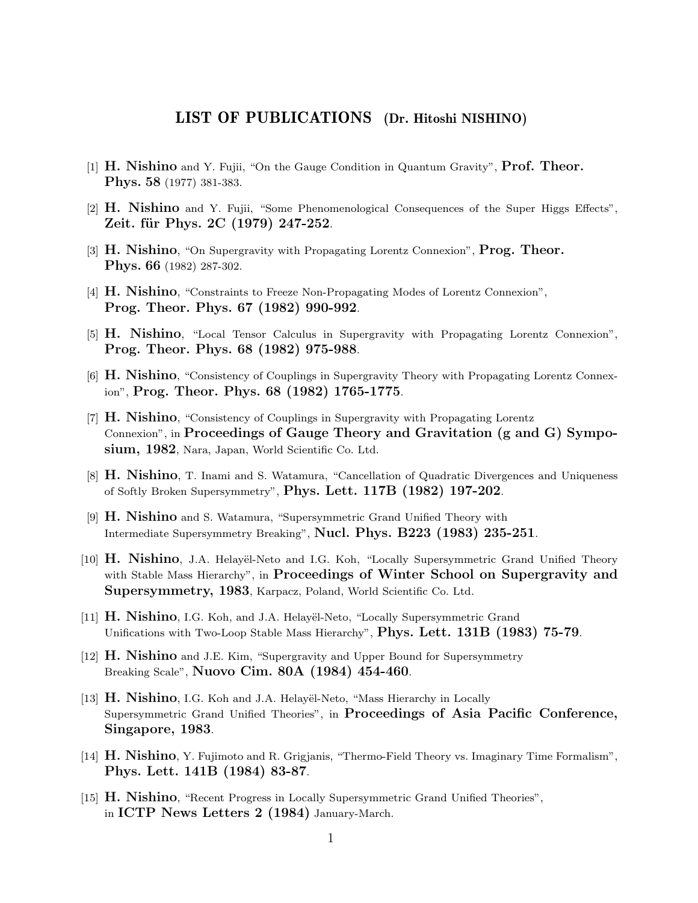# LIST OF PUBLICATIONS (Dr. Hitoshi NISHINO)

- [1] H. Nishino and Y. Fujii, "On the Gauge Condition in Quantum Gravity", Prof. Theor. Phys. 58 (1977) 381-383.
- [2] H. Nishino and Y. Fujii, "Some Phenomenological Consequences of the Super Higgs Effects", Zeit. für Phys. 2C (1979) 247-252.
- [3] H. Nishino, "On Supergravity with Propagating Lorentz Connexion", Prog. Theor. Phys. 66 (1982) 287-302.
- [4] H. Nishino, "Constraints to Freeze Non-Propagating Modes of Lorentz Connexion", Prog. Theor. Phys. 67 (1982) 990-992.
- [5] H. Nishino, "Local Tensor Calculus in Supergravity with Propagating Lorentz Connexion", Prog. Theor. Phys. 68 (1982) 975-988.
- [6] H. Nishino, "Consistency of Couplings in Supergravity Theory with Propagating Lorentz Connexion", Prog. Theor. Phys. 68 (1982) 1765-1775.
- [7] H. Nishino, "Consistency of Couplings in Supergravity with Propagating Lorentz Connexion", in Proceedings of Gauge Theory and Gravitation (g and G) Symposium, 1982, Nara, Japan, World Scientific Co. Ltd.
- [8] **H. Nishino**, T. Inami and S. Watamura, "Cancellation of Quadratic Divergences and Uniqueness of Softly Broken Supersymmetry", Phys. Lett. 117B (1982) 197-202.
- [9] **H. Nishino** and S. Watamura, "Supersymmetric Grand Unified Theory with Intermediate Supersymmetry Breaking", Nucl. Phys. B223 (1983) 235-251.
- [10] **H. Nishino**, J.A. Helayël-Neto and I.G. Koh, "Locally Supersymmetric Grand Unified Theory with Stable Mass Hierarchy", in Proceedings of Winter School on Supergravity and Supersymmetry, 1983, Karpacz, Poland, World Scientific Co. Ltd.
- [11] **H. Nishino**, I.G. Koh, and J.A. Helayel-Neto, "Locally Supersymmetric Grand Unifications with Two-Loop Stable Mass Hierarchy", Phys. Lett. 131B (1983) 75-79.
- [12] H. Nishino and J.E. Kim, "Supergravity and Upper Bound for Supersymmetry Breaking Scale", Nuovo Cim. 80A (1984) 454-460.
- [13] **H. Nishino**, I.G. Koh and J.A. Helayël-Neto, "Mass Hierarchy in Locally Supersymmetric Grand Unified Theories", in Proceedings of Asia Pacific Conference, Singapore, 1983.
- [14] H. Nishino, Y. Fujimoto and R. Grigjanis, "Thermo-Field Theory vs. Imaginary Time Formalism", Phys. Lett. 141B (1984) 83-87.
- [15] H. Nishino, "Recent Progress in Locally Supersymmetric Grand Unified Theories", in ICTP News Letters 2 (1984) January-March.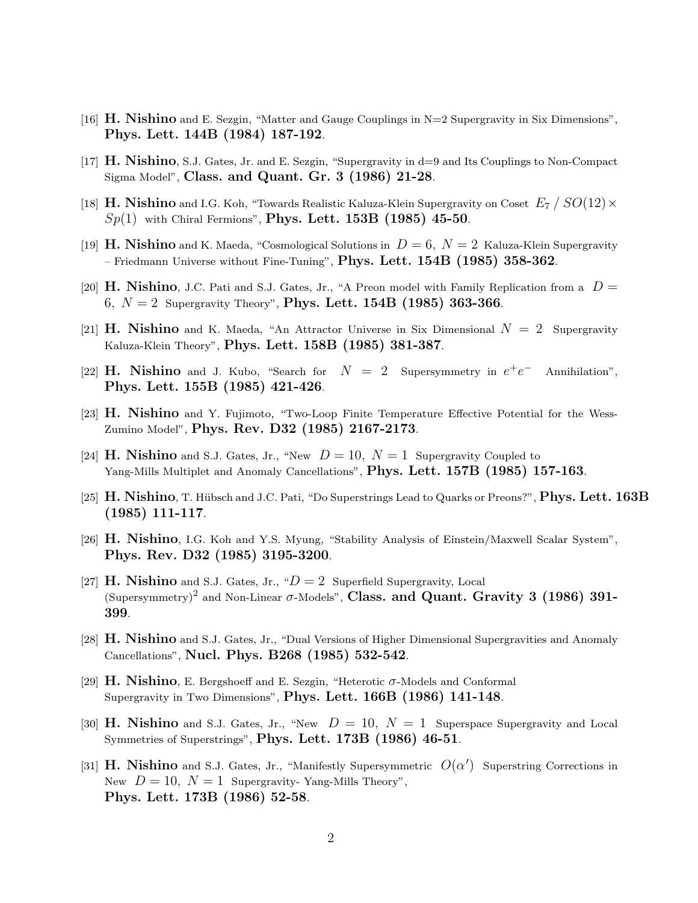- [16]  $\bf{H.}$  Nishino and E. Sezgin, "Matter and Gauge Couplings in N=2 Supergravity in Six Dimensions", Phys. Lett. 144B (1984) 187-192.
- [17] H. Nishino, S.J. Gates, Jr. and E. Sezgin, "Supergravity in d=9 and Its Couplings to Non-Compact Sigma Model", Class. and Quant. Gr. 3 (1986) 21-28.
- [18] **H. Nishino** and I.G. Koh, "Towards Realistic Kaluza-Klein Supergravity on Coset  $E_7/SO(12) \times$  $Sp(1)$  with Chiral Fermions", **Phys. Lett. 153B** (1985) 45-50.
- [19] **H. Nishino** and K. Maeda, "Cosmological Solutions in  $D = 6$ ,  $N = 2$  Kaluza-Klein Supergravity – Friedmann Universe without Fine-Tuning", Phys. Lett.  $154B$  (1985) 358-362.
- [20] **H. Nishino**, J.C. Pati and S.J. Gates, Jr., "A Preon model with Family Replication from a  $D =$ 6,  $N = 2$  Supergravity Theory", Phys. Lett. 154B (1985) 363-366.
- [21] **H. Nishino** and K. Maeda, "An Attractor Universe in Six Dimensional  $N = 2$  Supergravity Kaluza-Klein Theory", Phys. Lett. 158B (1985) 381-387.
- [22] **H. Nishino** and J. Kubo, "Search for  $N = 2$  Supersymmetry in  $e^+e$ <sup>−</sup> Annihilation", Phys. Lett. 155B (1985) 421-426.
- [23] **H. Nishino** and Y. Fujimoto, "Two-Loop Finite Temperature Effective Potential for the Wess-Zumino Model", Phys. Rev. D32 (1985) 2167-2173.
- [24] **H. Nishino** and S.J. Gates, Jr., "New  $D = 10$ ,  $N = 1$  Supergravity Coupled to Yang-Mills Multiplet and Anomaly Cancellations", Phys. Lett. 157B (1985) 157-163.
- [25] H. Nishino, T. Hübsch and J.C. Pati, "Do Superstrings Lead to Quarks or Preons?", Phys. Lett. 163B (1985) 111-117.
- [26] H. Nishino, I.G. Koh and Y.S. Myung, "Stability Analysis of Einstein/Maxwell Scalar System", Phys. Rev. D32 (1985) 3195-3200.
- [27] **H. Nishino** and S.J. Gates, Jr., " $D = 2$  Superfield Supergravity, Local (Supersymmetry)<sup>2</sup> and Non-Linear  $\sigma$ -Models", Class. and Quant. Gravity 3 (1986) 391-399.
- [28] **H. Nishino** and S.J. Gates, Jr., "Dual Versions of Higher Dimensional Supergravities and Anomaly Cancellations", Nucl. Phys. B268 (1985) 532-542.
- [29]  $\bf{H.}$  Nishino, E. Bergshoeff and E. Sezgin, "Heterotic  $\sigma$ -Models and Conformal Supergravity in Two Dimensions", Phys. Lett. 166B (1986) 141-148.
- [30] **H. Nishino** and S.J. Gates, Jr., "New  $D = 10$ ,  $N = 1$  Superspace Supergravity and Local Symmetries of Superstrings", Phys. Lett. 173B (1986) 46-51.
- [31] **H. Nishino** and S.J. Gates, Jr., "Manifestly Supersymmetric  $O(\alpha')$  Superstring Corrections in New  $D = 10$ ,  $N = 1$  Supergravity-Yang-Mills Theory", Phys. Lett. 173B (1986) 52-58.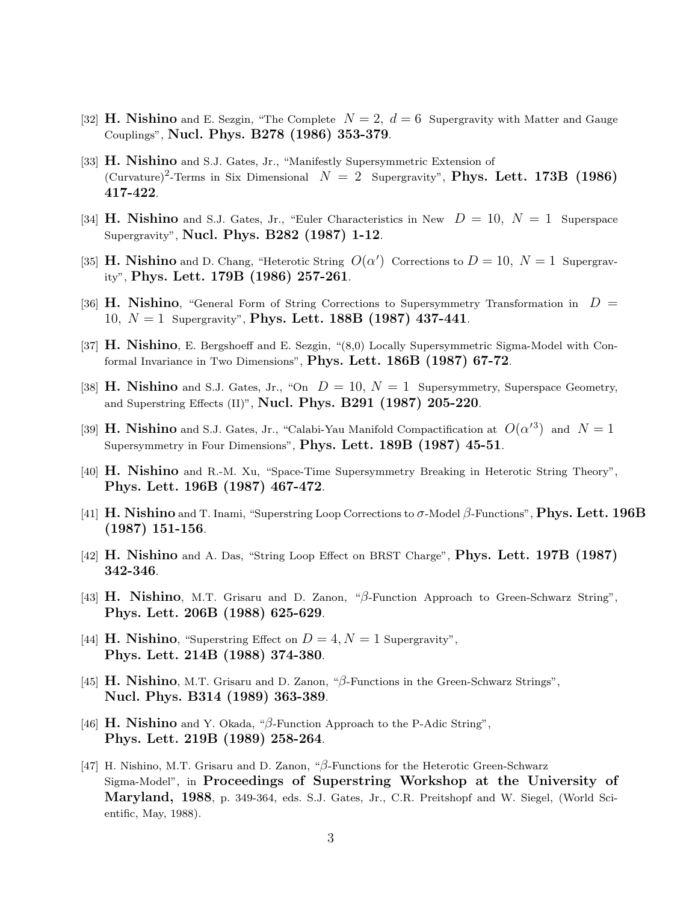- [32] **H. Nishino** and E. Sezgin, "The Complete  $N = 2$ ,  $d = 6$  Supergravity with Matter and Gauge Couplings", Nucl. Phys. B278 (1986) 353-379.
- [33] **H. Nishino** and S.J. Gates, Jr., "Manifestly Supersymmetric Extension of (Curvature)<sup>2</sup>-Terms in Six Dimensional  $N = 2$  Supergravity", **Phys. Lett. 173B** (1986) 417-422.
- [34] **H. Nishino** and S.J. Gates, Jr., "Euler Characteristics in New  $D = 10$ ,  $N = 1$  Superspace Supergravity", Nucl. Phys. B282 (1987) 1-12.
- [35] **H. Nishino** and D. Chang, "Heterotic String  $O(\alpha')$  Corrections to  $D = 10$ ,  $N = 1$  Supergravity", Phys. Lett. 179B (1986) 257-261.
- [36] **H. Nishino**, "General Form of String Corrections to Supersymmetry Transformation in  $D =$ 10,  $N = 1$  Supergravity", Phys. Lett. 188B (1987) 437-441.
- [37] **H. Nishino**, E. Bergshoeff and E. Sezgin, "(8,0) Locally Supersymmetric Sigma-Model with Conformal Invariance in Two Dimensions", Phys. Lett.  $186B$  ( $1987$ ) 67-72.
- [38] **H. Nishino** and S.J. Gates, Jr., "On  $D = 10$ ,  $N = 1$  Supersymmetry, Superspace Geometry, and Superstring Effects  $(II)$ ", **Nucl. Phys. B291 (1987) 205-220**.
- [39] **H. Nishino** and S.J. Gates, Jr., "Calabi-Yau Manifold Compactification at  $O(\alpha'^3)$  and  $N=1$ Supersymmetry in Four Dimensions", Phys. Lett.  $189B$   $(1987)$   $45-51$ .
- [40] H. Nishino and R.-M. Xu, "Space-Time Supersymmetry Breaking in Heterotic String Theory", Phys. Lett. 196B (1987) 467-472.
- [41] H. Nishino and T. Inami, "Superstring Loop Corrections to  $\sigma$ -Model  $\beta$ -Functions", Phys. Lett. 196B (1987) 151-156.
- [42] H. Nishino and A. Das, "String Loop Effect on BRST Charge", Phys. Lett. 197B (1987) 342-346.
- [43] H. Nishino, M.T. Grisaru and D. Zanon, "β-Function Approach to Green-Schwarz String", Phys. Lett. 206B (1988) 625-629.
- [44] **H. Nishino**, "Superstring Effect on  $D = 4, N = 1$  Supergravity", Phys. Lett. 214B (1988) 374-380.
- [45] H. Nishino, M.T. Grisaru and D. Zanon, " $\beta$ -Functions in the Green-Schwarz Strings", Nucl. Phys. B314 (1989) 363-389.
- [46] H. Nishino and Y. Okada, " $\beta$ -Function Approach to the P-Adic String", Phys. Lett. 219B (1989) 258-264.
- [47] H. Nishino, M.T. Grisaru and D. Zanon, "β-Functions for the Heterotic Green-Schwarz Sigma-Model", in Proceedings of Superstring Workshop at the University of Maryland, 1988, p. 349-364, eds. S.J. Gates, Jr., C.R. Preitshopf and W. Siegel, (World Scientific, May, 1988).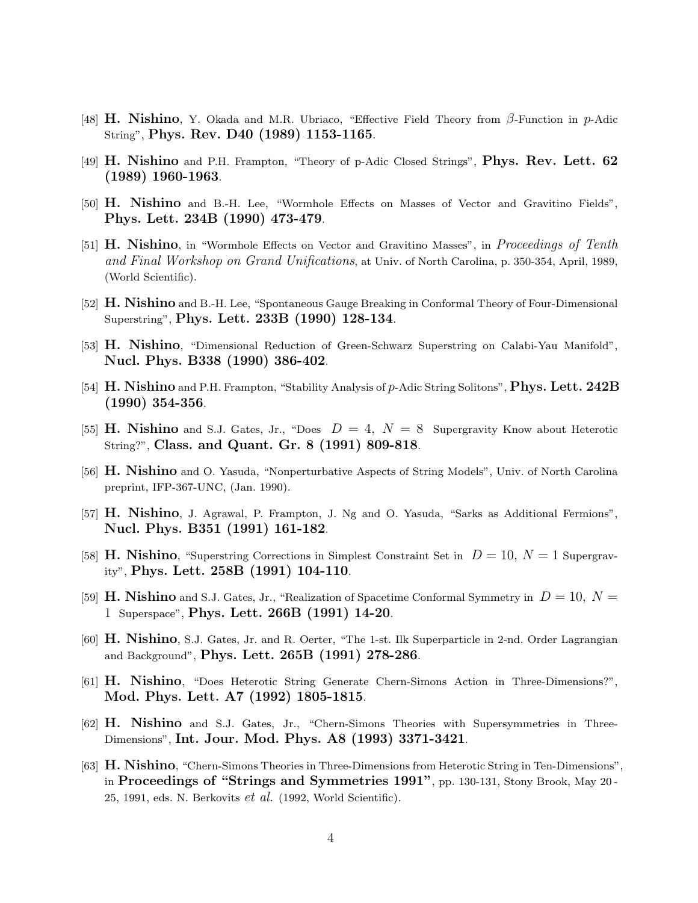- [48] H. Nishino, Y. Okada and M.R. Ubriaco, "Effective Field Theory from  $\beta$ -Function in p-Adic String", Phys. Rev. D40 (1989) 1153-1165.
- [49] H. Nishino and P.H. Frampton, "Theory of p-Adic Closed Strings", Phys. Rev. Lett. 62 (1989) 1960-1963.
- [50] H. Nishino and B.-H. Lee, "Wormhole Effects on Masses of Vector and Gravitino Fields", Phys. Lett. 234B (1990) 473-479.
- [51] **H. Nishino**, in "Wormhole Effects on Vector and Gravitino Masses", in *Proceedings of Tenth* and Final Workshop on Grand Unifications, at Univ. of North Carolina, p. 350-354, April, 1989, (World Scientific).
- [52] H. Nishino and B.-H. Lee, "Spontaneous Gauge Breaking in Conformal Theory of Four-Dimensional Superstring", Phys. Lett. 233B (1990) 128-134.
- [53] H. Nishino, "Dimensional Reduction of Green-Schwarz Superstring on Calabi-Yau Manifold", Nucl. Phys. B338 (1990) 386-402.
- [54] H. Nishino and P.H. Frampton, "Stability Analysis of p-Adic String Solitons", Phys. Lett. 242B (1990) 354-356.
- [55] **H. Nishino** and S.J. Gates, Jr., "Does  $D = 4$ ,  $N = 8$  Supergravity Know about Heterotic String?", Class. and Quant. Gr. 8 (1991) 809-818.
- [56] H. Nishino and O. Yasuda, "Nonperturbative Aspects of String Models", Univ. of North Carolina preprint, IFP-367-UNC, (Jan. 1990).
- [57] **H. Nishino**, J. Agrawal, P. Frampton, J. Ng and O. Yasuda, "Sarks as Additional Fermions", Nucl. Phys. B351 (1991) 161-182.
- [58] H. Nishino, "Superstring Corrections in Simplest Constraint Set in  $D = 10$ ,  $N = 1$  Supergravity", Phys. Lett. 258B (1991) 104-110.
- [59] H. Nishino and S.J. Gates, Jr., "Realization of Spacetime Conformal Symmetry in  $D = 10, N =$ 1 Superspace", Phys. Lett. 266B (1991) 14-20.
- [60] H. Nishino, S.J. Gates, Jr. and R. Oerter, "The 1-st. Ilk Superparticle in 2-nd. Order Lagrangian and Background", Phys. Lett. 265B (1991) 278-286.
- [61] H. Nishino, "Does Heterotic String Generate Chern-Simons Action in Three-Dimensions?", Mod. Phys. Lett. A7 (1992) 1805-1815.
- [62] H. Nishino and S.J. Gates, Jr., "Chern-Simons Theories with Supersymmetries in Three-Dimensions", Int. Jour. Mod. Phys. A8 (1993) 3371-3421.
- [63] H. Nishino, "Chern-Simons Theories in Three-Dimensions from Heterotic String in Ten-Dimensions", in Proceedings of "Strings and Symmetries 1991", pp. 130-131, Stony Brook, May 20 - 25, 1991, eds. N. Berkovits  $et \ al.$  (1992, World Scientific).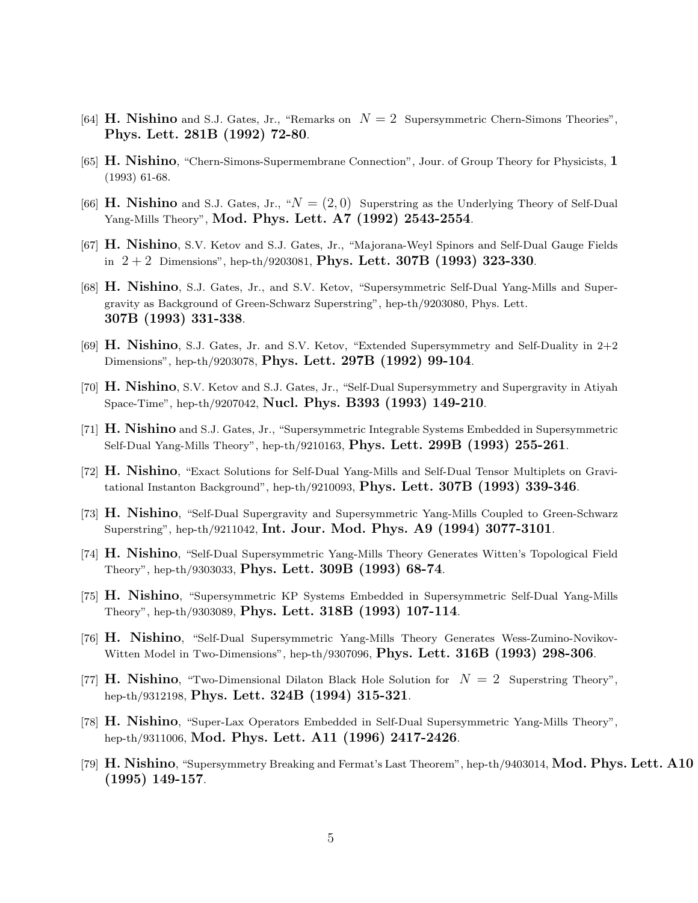- [64] **H. Nishino** and S.J. Gates, Jr., "Remarks on  $N = 2$  Supersymmetric Chern-Simons Theories", Phys. Lett. 281B (1992) 72-80.
- [65] H. Nishino, "Chern-Simons-Supermembrane Connection", Jour. of Group Theory for Physicists, 1 (1993) 61-68.
- [66] **H. Nishino** and S.J. Gates, Jr., " $N = (2, 0)$  Superstring as the Underlying Theory of Self-Dual Yang-Mills Theory", Mod. Phys. Lett. A7 (1992) 2543-2554.
- [67] H. Nishino, S.V. Ketov and S.J. Gates, Jr., "Majorana-Weyl Spinors and Self-Dual Gauge Fields in  $2+2$  Dimensions", hep-th/9203081, **Phys. Lett. 307B** (1993) 323-330.
- [68] **H. Nishino**, S.J. Gates, Jr., and S.V. Ketov, "Supersymmetric Self-Dual Yang-Mills and Supergravity as Background of Green-Schwarz Superstring", hep-th/9203080, Phys. Lett. 307B (1993) 331-338.
- [69]  $\bf{H.}$  Nishino, S.J. Gates, Jr. and S.V. Ketov, "Extended Supersymmetry and Self-Duality in 2+2 Dimensions", hep-th/9203078, Phys. Lett. 297B (1992) 99-104.
- [70] H. Nishino, S.V. Ketov and S.J. Gates, Jr., "Self-Dual Supersymmetry and Supergravity in Atiyah Space-Time", hep-th/9207042, Nucl. Phys. B393 (1993) 149-210.
- [71] H. Nishino and S.J. Gates, Jr., "Supersymmetric Integrable Systems Embedded in Supersymmetric Self-Dual Yang-Mills Theory", hep-th/9210163, Phys. Lett. 299B (1993) 255-261.
- [72] H. Nishino, "Exact Solutions for Self-Dual Yang-Mills and Self-Dual Tensor Multiplets on Gravitational Instanton Background", hep-th/9210093, Phys. Lett.  $307B$  (1993) 339-346.
- [73] H. Nishino, "Self-Dual Supergravity and Supersymmetric Yang-Mills Coupled to Green-Schwarz Superstring", hep-th/9211042, Int. Jour. Mod. Phys. A9 (1994) 3077-3101.
- [74] H. Nishino, "Self-Dual Supersymmetric Yang-Mills Theory Generates Witten's Topological Field Theory", hep-th/9303033, Phys. Lett. 309B (1993) 68-74.
- [75] H. Nishino, "Supersymmetric KP Systems Embedded in Supersymmetric Self-Dual Yang-Mills Theory", hep-th/9303089, Phys. Lett. 318B (1993) 107-114.
- [76] H. Nishino, "Self-Dual Supersymmetric Yang-Mills Theory Generates Wess-Zumino-Novikov-Witten Model in Two-Dimensions", hep-th/9307096, Phys. Lett.  $316B$  (1993) 298-306.
- [77] **H. Nishino**, "Two-Dimensional Dilaton Black Hole Solution for  $N = 2$  Superstring Theory", hep-th/9312198, Phys. Lett. 324B (1994) 315-321.
- [78] H. Nishino, "Super-Lax Operators Embedded in Self-Dual Supersymmetric Yang-Mills Theory", hep-th/9311006, Mod. Phys. Lett. A11 (1996) 2417-2426.
- [79]  $\rm H.$  Nishino, "Supersymmetry Breaking and Fermat's Last Theorem", hep-th/9403014, Mod. Phys. Lett. A10 (1995) 149-157.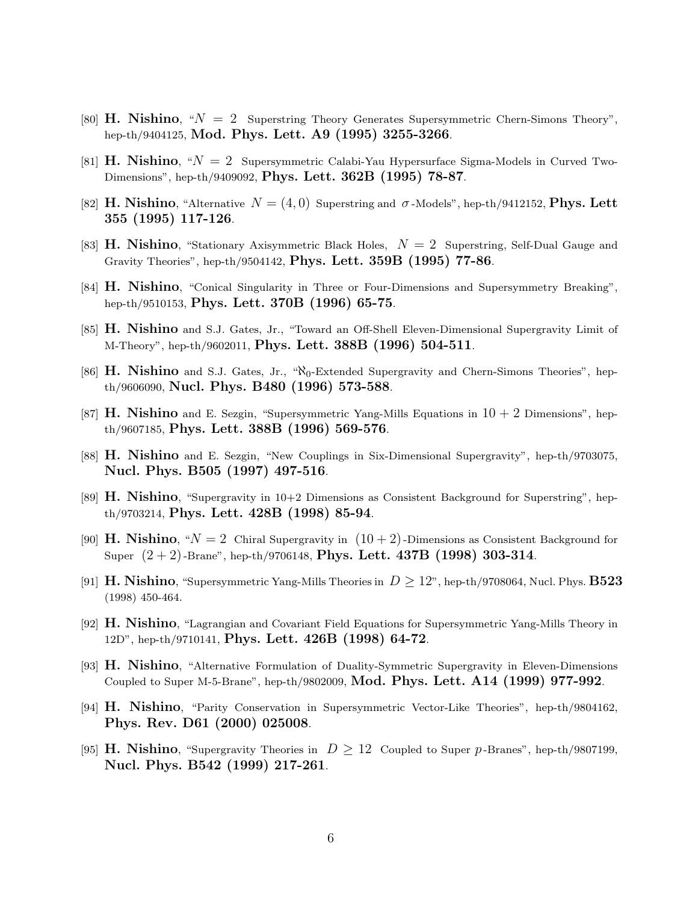- [80] H. Nishino, " $N = 2$  Superstring Theory Generates Supersymmetric Chern-Simons Theory", hep-th/9404125, Mod. Phys. Lett. A9 (1995) 3255-3266.
- [81] **H. Nishino**, " $N = 2$  Supersymmetric Calabi-Yau Hypersurface Sigma-Models in Curved Two-Dimensions", hep-th/9409092, Phys. Lett. 362B (1995) 78-87.
- [82] H. Nishino, "Alternative  $N = (4, 0)$  Superstring and  $\sigma$ -Models", hep-th/9412152, Phys. Lett 355 (1995) 117-126.
- [83] **H. Nishino**, "Stationary Axisymmetric Black Holes,  $N = 2$  Superstring, Self-Dual Gauge and Gravity Theories", hep-th/9504142, Phys. Lett. 359B (1995) 77-86.
- [84] H. Nishino, "Conical Singularity in Three or Four-Dimensions and Supersymmetry Breaking", hep-th/9510153, Phys. Lett. 370B (1996) 65-75.
- [85] **H. Nishino** and S.J. Gates, Jr., "Toward an Off-Shell Eleven-Dimensional Supergravity Limit of M-Theory", hep-th/9602011, **Phys. Lett. 388B** (1996) 504-511.
- [86] H. Nishino and S.J. Gates, Jr., "N<sub>0</sub>-Extended Supergravity and Chern-Simons Theories", hepth/9606090, Nucl. Phys. B480 (1996) 573-588.
- [87] **H. Nishino** and E. Sezgin, "Supersymmetric Yang-Mills Equations in  $10 + 2$  Dimensions", hepth/9607185, Phys. Lett. 388B (1996) 569-576.
- [88] H. Nishino and E. Sezgin, "New Couplings in Six-Dimensional Supergravity", hep-th/9703075, Nucl. Phys. B505 (1997) 497-516.
- [89]  $\bf{H.}$  Nishino, "Supergravity in 10+2 Dimensions as Consistent Background for Superstring", hepth/9703214, Phys. Lett. 428B (1998) 85-94.
- [90] **H. Nishino**, " $N = 2$  Chiral Supergravity in  $(10 + 2)$ -Dimensions as Consistent Background for Super  $(2+2)$ -Brane", hep-th/9706148, Phys. Lett. 437B (1998) 303-314.
- [91] H. Nishino, "Supersymmetric Yang-Mills Theories in  $D \geq 12$ ", hep-th/9708064, Nucl. Phys. **B523** (1998) 450-464.
- [92] H. Nishino, "Lagrangian and Covariant Field Equations for Supersymmetric Yang-Mills Theory in 12D", hep-th/9710141, Phys. Lett. 426B (1998) 64-72.
- [93] H. Nishino, "Alternative Formulation of Duality-Symmetric Supergravity in Eleven-Dimensions Coupled to Super M-5-Brane", hep-th/9802009, Mod. Phys. Lett. A14 (1999) 977-992.
- [94] H. Nishino, "Parity Conservation in Supersymmetric Vector-Like Theories", hep-th/9804162, Phys. Rev. D61 (2000) 025008.
- [95] **H. Nishino**, "Supergravity Theories in  $D \geq 12$  Coupled to Super p-Branes", hep-th/9807199, Nucl. Phys. B542 (1999) 217-261.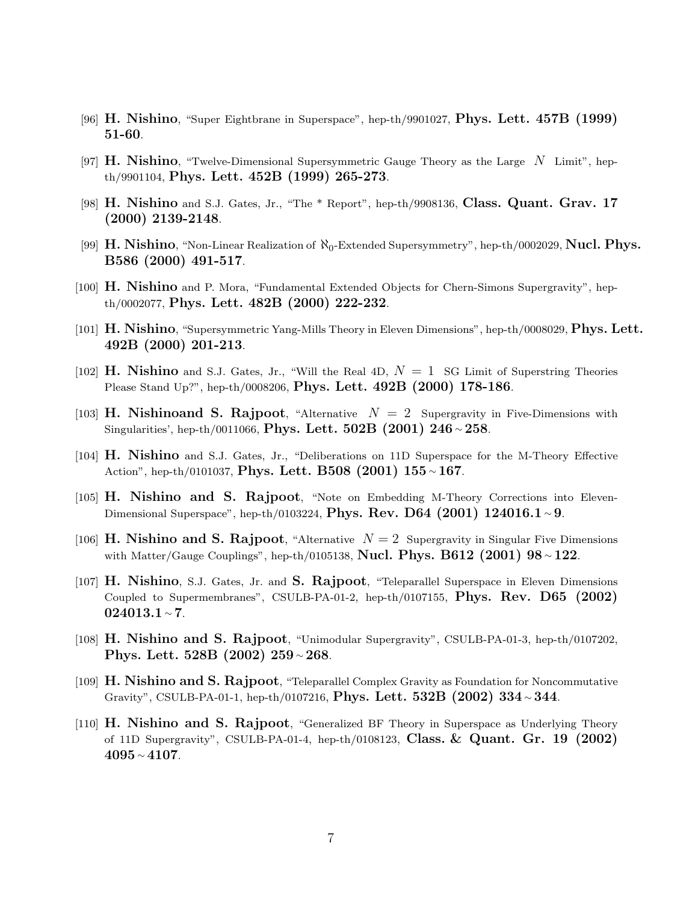- [96] H. Nishino, "Super Eightbrane in Superspace", hep-th/9901027, Phys. Lett. 457B (1999) 51-60.
- [97] **H. Nishino**, "Twelve-Dimensional Supersymmetric Gauge Theory as the Large  $N$  Limit", hepth/9901104, Phys. Lett. 452B (1999) 265-273.
- [98] H. Nishino and S.J. Gates, Jr., "The \* Report", hep-th/9908136, Class. Quant. Grav. 17 (2000) 2139-2148.
- [99] H. Nishino, "Non-Linear Realization of  $\aleph_0$ -Extended Supersymmetry", hep-th/0002029, Nucl. Phys. B586 (2000) 491-517.
- [100] H. Nishino and P. Mora, "Fundamental Extended Objects for Chern-Simons Supergravity", hepth/0002077, Phys. Lett. 482B (2000) 222-232.
- [101] H. Nishino, "Supersymmetric Yang-Mills Theory in Eleven Dimensions", hep-th/0008029, Phys. Lett. 492B (2000) 201-213.
- [102] **H. Nishino** and S.J. Gates, Jr., "Will the Real 4D,  $N = 1$  SG Limit of Superstring Theories Please Stand Up?", hep-th/0008206, Phys. Lett. 492B (2000) 178-186.
- [103] H. Nishinoand S. Rajpoot, "Alternative  $N = 2$  Supergravity in Five-Dimensions with Singularities', hep-th/0011066, Phys. Lett. 502B (2001) 246  $\sim$  258.
- [104] H. Nishino and S.J. Gates, Jr., "Deliberations on 11D Superspace for the M-Theory Effective Action", hep-th/0101037, Phys. Lett. B508 (2001) 155 ~ 167.
- [105] H. Nishino and S. Rajpoot, "Note on Embedding M-Theory Corrections into Eleven-Dimensional Superspace", hep-th/0103224, Phys. Rev. D64 (2001) 124016.1 ~ 9.
- [106] **H. Nishino and S. Rajpoot**, "Alternative  $N = 2$  Supergravity in Singular Five Dimensions with Matter/Gauge Couplings", hep-th/0105138, **Nucl. Phys. B612 (2001) 98**  $\sim$  **122**.
- [107] H. Nishino, S.J. Gates, Jr. and S. Rajpoot, "Teleparallel Superspace in Eleven Dimensions Coupled to Supermembranes", CSULB-PA-01-2, hep-th/0107155, Phys. Rev.  $D65$  (2002) 024013.1 <sup>∼</sup> 7.
- [108] H. Nishino and S. Rajpoot, "Unimodular Supergravity", CSULB-PA-01-3, hep-th/0107202, Phys. Lett. 528B (2002) 259 <sup>∼</sup> 268.
- [109] H. Nishino and S. Rajpoot, "Teleparallel Complex Gravity as Foundation for Noncommutative Gravity", CSULB-PA-01-1, hep-th/0107216, Phys. Lett. 532B (2002) 334 <sup>∼</sup> 344.
- [110] H. Nishino and S. Rajpoot, "Generalized BF Theory in Superspace as Underlying Theory of 11D Supergravity", CSULB-PA-01-4, hep-th/0108123, Class.  $\&$  Quant. Gr. 19 (2002)  $4095 - 4107$ .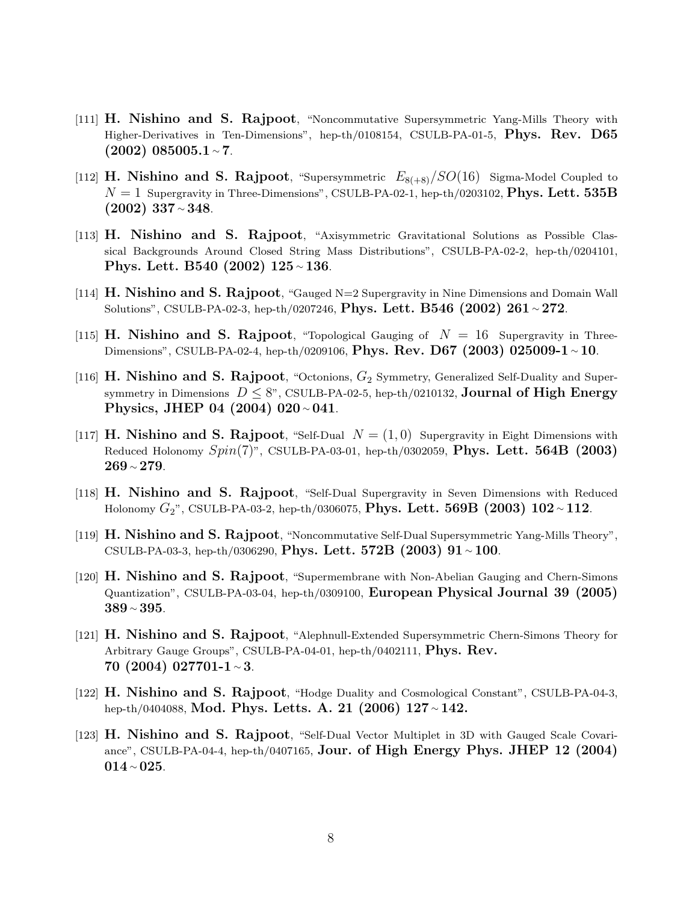- [111] H. Nishino and S. Rajpoot, "Noncommutative Supersymmetric Yang-Mills Theory with Higher-Derivatives in Ten-Dimensions", hep-th/0108154, CSULB-PA-01-5, Phys. Rev. D65 (2002) 085005.1 <sup>∼</sup> 7.
- [112] **H. Nishino and S. Rajpoot**, "Supersymmetric  $E_{8(+8)}/SO(16)$  Sigma-Model Coupled to  $N = 1$  Supergravity in Three-Dimensions", CSULB-PA-02-1, hep-th/0203102, **Phys. Lett. 535B**  $(2002)$  337 ∼ 348.
- [113] H. Nishino and S. Rajpoot, "Axisymmetric Gravitational Solutions as Possible Classical Backgrounds Around Closed String Mass Distributions", CSULB-PA-02-2, hep-th/0204101, Phys. Lett. B540 (2002) 125 <sup>∼</sup> 136.
- [114]  $\rm H.$  Nishino and S. Rajpoot, "Gauged N=2 Supergravity in Nine Dimensions and Domain Wall Solutions", CSULB-PA-02-3, hep-th/0207246, Phys. Lett. B546 (2002) 261 ∼ 272.
- [115] H. Nishino and S. Rajpoot, "Topological Gauging of  $N = 16$  Supergravity in Three-Dimensions", CSULB-PA-02-4, hep-th/0209106, Phys. Rev. D67 (2003) 025009-1  $\sim$  10.
- [116] H. Nishino and S. Rajpoot, "Octonions,  $G_2$  Symmetry, Generalized Self-Duality and Supersymmetry in Dimensions  $D \leq 8$ ", CSULB-PA-02-5, hep-th/0210132, **Journal of High Energy** Physics, JHEP 04 (2004) 020 <sup>∼</sup> 041.
- [117] **H. Nishino and S. Rajpoot**, "Self-Dual  $N = (1,0)$  Supergravity in Eight Dimensions with Reduced Holonomy  $Spin(7)$ ", CSULB-PA-03-01, hep-th/0302059, Phys. Lett. 564B (2003) 269 <sup>∼</sup> 279.
- [118] H. Nishino and S. Rajpoot, "Self-Dual Supergravity in Seven Dimensions with Reduced Holonomy  $G_2$ ", CSULB-PA-03-2, hep-th/0306075, **Phys. Lett. 569B** (2003) 102 ~ 112.
- [119] H. Nishino and S. Rajpoot, "Noncommutative Self-Dual Supersymmetric Yang-Mills Theory", CSULB-PA-03-3, hep-th/0306290, Phys. Lett. 572B (2003)  $91 \sim 100$ .
- [120] H. Nishino and S. Rajpoot, "Supermembrane with Non-Abelian Gauging and Chern-Simons Quantization", CSULB-PA-03-04, hep-th/0309100, European Physical Journal 39 (2005) 389 <sup>∼</sup> 395.
- [121] H. Nishino and S. Rajpoot, "Alephnull-Extended Supersymmetric Chern-Simons Theory for Arbitrary Gauge Groups", CSULB-PA-04-01, hep-th/0402111, Phys. Rev. 70 (2004) 027701-1 <sup>∼</sup> 3.
- [122] H. Nishino and S. Rajpoot, "Hodge Duality and Cosmological Constant", CSULB-PA-04-3, hep-th/0404088, Mod. Phys. Letts. A. 21 (2006) 127 <sup>∼</sup> 142.
- [123] H. Nishino and S. Rajpoot, "Self-Dual Vector Multiplet in 3D with Gauged Scale Covariance", CSULB-PA-04-4, hep-th/0407165, Jour. of High Energy Phys. JHEP 12 (2004) 014 <sup>∼</sup> 025.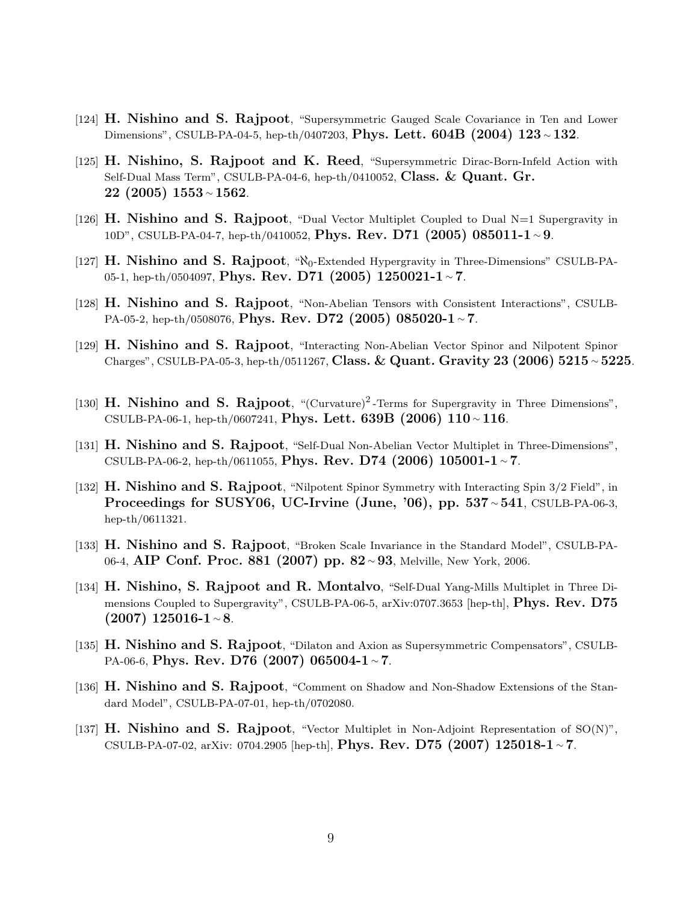- [124] H. Nishino and S. Rajpoot, "Supersymmetric Gauged Scale Covariance in Ten and Lower Dimensions", CSULB-PA-04-5, hep-th/0407203, Phys. Lett. 604B (2004) 123 <sup>∼</sup> 132.
- [125] H. Nishino, S. Rajpoot and K. Reed, "Supersymmetric Dirac-Born-Infeld Action with Self-Dual Mass Term", CSULB-PA-04-6, hep-th/0410052, Class.  $&$  Quant. Gr. 22 (2005) 1553 <sup>∼</sup> 1562.
- [126] H. Nishino and S. Rajpoot, "Dual Vector Multiplet Coupled to Dual  $N=1$  Supergravity in 10D", CSULB-PA-04-7, hep-th/0410052, Phys. Rev. D71 (2005) 085011-1 ~ 9.
- [127]  $H.$  Nishino and S. Rajpoot, " $\aleph_0$ -Extended Hypergravity in Three-Dimensions" CSULB-PA-05-1, hep-th/0504097, Phys. Rev. D71 (2005) 1250021-1 ~ 7.
- [128] H. Nishino and S. Rajpoot, "Non-Abelian Tensors with Consistent Interactions", CSULB-PA-05-2, hep-th/0508076, Phys. Rev. D72 (2005) 085020-1 ~ 7.
- [129] H. Nishino and S. Rajpoot, "Interacting Non-Abelian Vector Spinor and Nilpotent Spinor Charges", CSULB-PA-05-3, hep-th/0511267, Class. & Quant. Gravity 23 (2006) 5215 ∼ 5225.
- [130] H. Nishino and S. Rajpoot, "(Curvature)<sup>2</sup>-Terms for Supergravity in Three Dimensions", CSULB-PA-06-1, hep-th/0607241, Phys. Lett. 639B (2006) 110  $\sim$  116.
- [131] H. Nishino and S. Rajpoot, "Self-Dual Non-Abelian Vector Multiplet in Three-Dimensions", CSULB-PA-06-2, hep-th/0611055, Phys. Rev. D74 (2006) 105001-1  $\sim$  7.
- [132] H. Nishino and S. Rajpoot, "Nilpotent Spinor Symmetry with Interacting Spin 3/2 Field", in Proceedings for SUSY06, UC-Irvine (June, '06), pp. 537 ∼ 541, CSULB-PA-06-3, hep-th/0611321.
- [133] H. Nishino and S. Rajpoot, "Broken Scale Invariance in the Standard Model", CSULB-PA-06-4, AIP Conf. Proc. 881 (2007) pp. 82 <sup>∼</sup> 93, Melville, New York, 2006.
- [134] H. Nishino, S. Rajpoot and R. Montalvo, "Self-Dual Yang-Mills Multiplet in Three Dimensions Coupled to Supergravity", CSULB-PA-06-5, arXiv:0707.3653 [hep-th], **Phys. Rev. D75**  $(2007)$  125016-1 ∼ 8.
- [135] H. Nishino and S. Rajpoot, "Dilaton and Axion as Supersymmetric Compensators", CSULB-PA-06-6, Phys. Rev. D76 (2007) 065004-1 ∼ 7.
- [136] H. Nishino and S. Rajpoot, "Comment on Shadow and Non-Shadow Extensions of the Standard Model", CSULB-PA-07-01, hep-th/0702080.
- [137] H. Nishino and S. Rajpoot, "Vector Multiplet in Non-Adjoint Representation of SO(N)", CSULB-PA-07-02, arXiv: 0704.2905 [hep-th], **Phys. Rev. D75 (2007) 125018-1** ~ 7.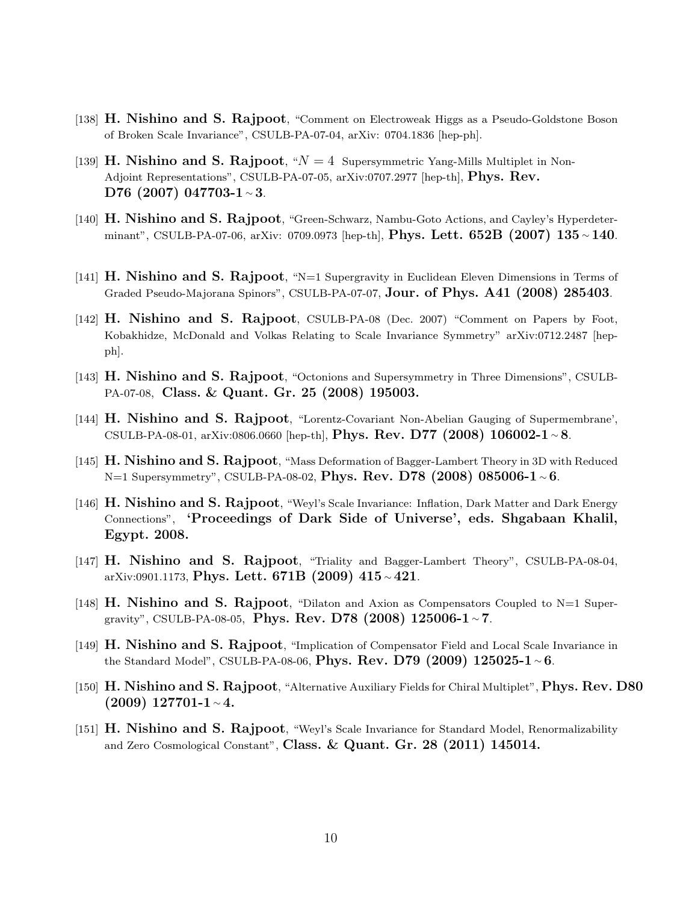- [138] H. Nishino and S. Rajpoot, "Comment on Electroweak Higgs as a Pseudo-Goldstone Boson of Broken Scale Invariance", CSULB-PA-07-04, arXiv: 0704.1836 [hep-ph].
- [139] H. Nishino and S. Rajpoot, " $N = 4$  Supersymmetric Yang-Mills Multiplet in Non-Adjoint Representations", CSULB-PA-07-05, arXiv:0707.2977 [hep-th], **Phys. Rev.** D76 (2007) 047703-1 ~ 3.
- [140] H. Nishino and S. Rajpoot, "Green-Schwarz, Nambu-Goto Actions, and Cayley's Hyperdeterminant", CSULB-PA-07-06, arXiv: 0709.0973 [hep-th], **Phys. Lett. 652B** (2007) 135 ~ 140.
- [141]  $H.$  Nishino and S. Rajpoot, "N=1 Supergravity in Euclidean Eleven Dimensions in Terms of Graded Pseudo-Majorana Spinors", CSULB-PA-07-07, **Jour. of Phys. A41 (2008) 285403**.
- [142] H. Nishino and S. Rajpoot, CSULB-PA-08 (Dec. 2007) "Comment on Papers by Foot, Kobakhidze, McDonald and Volkas Relating to Scale Invariance Symmetry" arXiv:0712.2487 [hepph].
- [143] H. Nishino and S. Rajpoot, "Octonions and Supersymmetry in Three Dimensions", CSULB-PA-07-08, Class. & Quant. Gr. 25 (2008) 195003.
- [144] H. Nishino and S. Rajpoot, "Lorentz-Covariant Non-Abelian Gauging of Supermembrane', CSULB-PA-08-01, arXiv:0806.0660 [hep-th], Phys. Rev. D77 (2008) 106002-1  $\sim$  8.
- [145] H. Nishino and S. Rajpoot, "Mass Deformation of Bagger-Lambert Theory in 3D with Reduced N=1 Supersymmetry", CSULB-PA-08-02, Phys. Rev. D78 (2008) 085006-1  $\sim$  6.
- [146] H. Nishino and S. Rajpoot, "Weyl's Scale Invariance: Inflation, Dark Matter and Dark Energy Connections", 'Proceedings of Dark Side of Universe', eds. Shgabaan Khalil, Egypt. 2008.
- [147] H. Nishino and S. Rajpoot, "Triality and Bagger-Lambert Theory", CSULB-PA-08-04, arXiv:0901.1173, Phys. Lett. 671B (2009) 415  $\sim$  421.
- [148] H. Nishino and S. Rajpoot, "Dilaton and Axion as Compensators Coupled to  $N=1$  Supergravity", CSULB-PA-08-05, Phys. Rev. D78  $(2008)$  125006-1 ~ 7.
- [149] H. Nishino and S. Rajpoot, "Implication of Compensator Field and Local Scale Invariance in the Standard Model", CSULB-PA-08-06, Phys. Rev. D79 (2009) 125025-1  $\sim$  6.
- [150] H. Nishino and S. Rajpoot, "Alternative Auxiliary Fields for Chiral Multiplet", Phys. Rev. D80 (2009) 127701-1 <sup>∼</sup> 4.
- [151] **H. Nishino and S. Rajpoot**, "Weyl's Scale Invariance for Standard Model, Renormalizability and Zero Cosmological Constant", Class. & Quant. Gr. 28  $(2011)$  145014.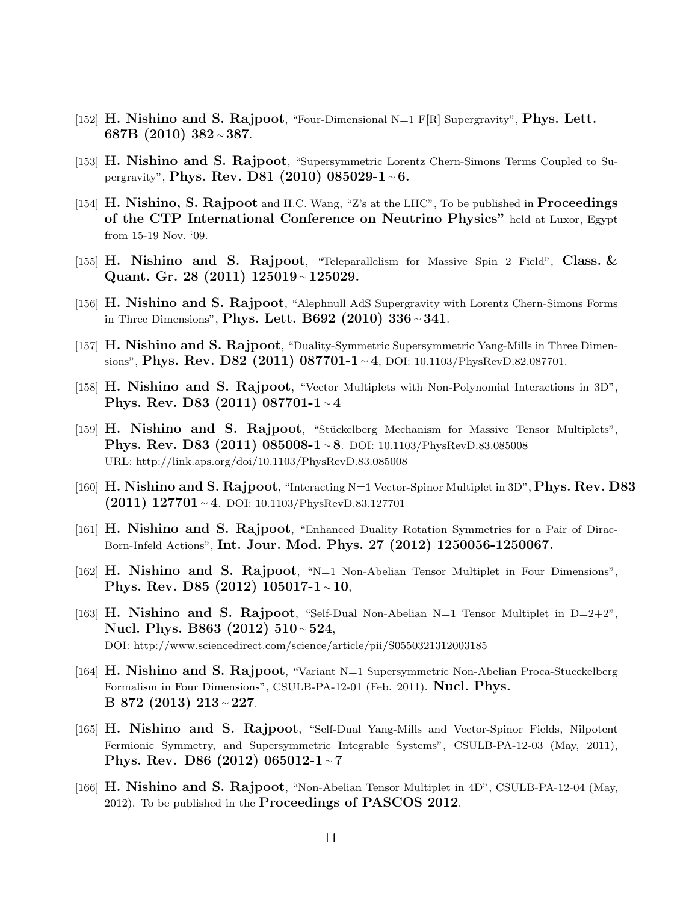- [152] H. Nishino and S. Rajpoot, "Four-Dimensional  $N=1$  F[R] Supergravity", Phys. Lett. 687B (2010) 382 <sup>∼</sup> 387.
- [153] H. Nishino and S. Rajpoot, "Supersymmetric Lorentz Chern-Simons Terms Coupled to Supergravity", Phys. Rev. D81 (2010) 085029-1 <sup>∼</sup> 6.
- [154] H. Nishino, S. Rajpoot and H.C. Wang, "Z's at the LHC", To be published in Proceedings of the CTP International Conference on Neutrino Physics" held at Luxor, Egypt from 15-19 Nov. '09.
- [155] H. Nishino and S. Rajpoot, "Teleparallelism for Massive Spin 2 Field", Class.  $\&$ Quant. Gr. 28 (2011) 125019 <sup>∼</sup> 125029.
- [156] H. Nishino and S. Rajpoot, "Alephnull AdS Supergravity with Lorentz Chern-Simons Forms in Three Dimensions", Phys. Lett. B692 (2010) 336  $\sim$  341.
- [157] H. Nishino and S. Rajpoot, "Duality-Symmetric Supersymmetric Yang-Mills in Three Dimensions", Phys. Rev. D82 (2011) 087701-1 ∼4, DOI: 10.1103/PhysRevD.82.087701.
- [158] H. Nishino and S. Rajpoot, "Vector Multiplets with Non-Polynomial Interactions in 3D", Phys. Rev. D83 (2011) 087701-1 <sup>∼</sup> 4
- [159] H. Nishino and S. Rajpoot, "Stückelberg Mechanism for Massive Tensor Multiplets", Phys. Rev. D83 (2011) 085008-1∼8. DOI: 10.1103/PhysRevD.83.085008 URL: http://link.aps.org/doi/10.1103/PhysRevD.83.085008
- [160] H. Nishino and S. Rajpoot, "Interacting N=1 Vector-Spinor Multiplet in 3D", Phys. Rev. D83  $(2011)$  127701 ∼ 4. DOI: 10.1103/PhysRevD.83.127701
- [161] H. Nishino and S. Rajpoot, "Enhanced Duality Rotation Symmetries for a Pair of Dirac-Born-Infeld Actions", Int. Jour. Mod. Phys. 27 (2012) 1250056-1250067.
- [162] H. Nishino and S. Rajpoot, "N=1 Non-Abelian Tensor Multiplet in Four Dimensions", Phys. Rev. D85 (2012) 105017-1  $∼10$ ,
- [163] H. Nishino and S. Rajpoot, "Self-Dual Non-Abelian N=1 Tensor Multiplet in  $D=2+2$ ", Nucl. Phys. B863 (2012) 510∼524, DOI: http://www.sciencedirect.com/science/article/pii/S0550321312003185
- [164] H. Nishino and S. Rajpoot, "Variant N=1 Supersymmetric Non-Abelian Proca-Stueckelberg Formalism in Four Dimensions", CSULB-PA-12-01 (Feb. 2011). **Nucl. Phys.** B 872 (2013) 213 <sup>∼</sup> 227.
- [165] H. Nishino and S. Rajpoot, "Self-Dual Yang-Mills and Vector-Spinor Fields, Nilpotent Fermionic Symmetry, and Supersymmetric Integrable Systems", CSULB-PA-12-03 (May, 2011), Phys. Rev. D86 (2012) 065012-1 <sup>∼</sup> 7
- [166] H. Nishino and S. Rajpoot, "Non-Abelian Tensor Multiplet in 4D", CSULB-PA-12-04 (May, 2012). To be published in the Proceedings of PASCOS 2012.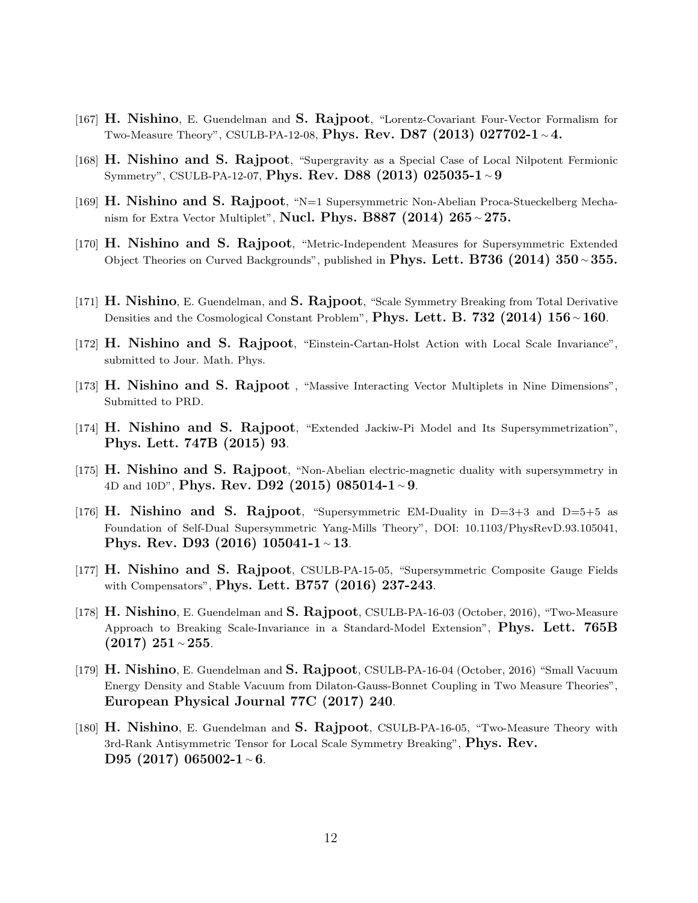- [167] H. Nishino, E. Guendelman and S. Rajpoot, "Lorentz-Covariant Four-Vector Formalism for Two-Measure Theory", CSULB-PA-12-08, Phys. Rev. D87 (2013) 027702-1  $\sim$  4.
- [168] H. Nishino and S. Rajpoot, "Supergravity as a Special Case of Local Nilpotent Fermionic Symmetry", CSULB-PA-12-07, Phys. Rev. D88 (2013) 025035-1 <sup>∼</sup> 9
- [169] H. Nishino and S. Rajpoot, "N=1 Supersymmetric Non-Abelian Proca-Stueckelberg Mechanism for Extra Vector Multiplet", Nucl. Phys. B887 (2014) 265  $\sim$  275.
- [170] H. Nishino and S. Rajpoot, "Metric-Independent Measures for Supersymmetric Extended Object Theories on Curved Backgrounds", published in Phys. Lett. B736 (2014) 350 ∼ 355.
- [171] H. Nishino, E. Guendelman, and S. Rajpoot, "Scale Symmetry Breaking from Total Derivative Densities and the Cosmological Constant Problem", Phys. Lett. B. 732 (2014) 156 ~ 160.
- [172] H. Nishino and S. Rajpoot, "Einstein-Cartan-Holst Action with Local Scale Invariance", submitted to Jour. Math. Phys.
- [173] H. Nishino and S. Rajpoot , "Massive Interacting Vector Multiplets in Nine Dimensions", Submitted to PRD.
- [174] H. Nishino and S. Rajpoot, "Extended Jackiw-Pi Model and Its Supersymmetrization", Phys. Lett. 747B (2015) 93.
- [175] H. Nishino and S. Rajpoot, "Non-Abelian electric-magnetic duality with supersymmetry in 4D and 10D", Phys. Rev. D92 (2015) 085014-1 ~9.
- [176] **H. Nishino and S. Rajpoot**, "Supersymmetric EM-Duality in  $D=3+3$  and  $D=5+5$  as Foundation of Self-Dual Supersymmetric Yang-Mills Theory", DOI: 10.1103/PhysRevD.93.105041, Phys. Rev. D93 (2016) 105041-1 <sup>∼</sup> 13.
- [177] H. Nishino and S. Rajpoot, CSULB-PA-15-05, "Supersymmetric Composite Gauge Fields with Compensators", Phys. Lett. B757 (2016) 237-243.
- [178] H. Nishino, E. Guendelman and S. Rajpoot, CSULB-PA-16-03 (October, 2016), "Two-Measure Approach to Breaking Scale-Invariance in a Standard-Model Extension", **Phys. Lett. 765B** (2017) 251 <sup>∼</sup> 255.
- [179] H. Nishino, E. Guendelman and S. Rajpoot, CSULB-PA-16-04 (October, 2016) "Small Vacuum Energy Density and Stable Vacuum from Dilaton-Gauss-Bonnet Coupling in Two Measure Theories", European Physical Journal 77C (2017) 240.
- [180] H. Nishino, E. Guendelman and S. Rajpoot, CSULB-PA-16-05, "Two-Measure Theory with 3rd-Rank Antisymmetric Tensor for Local Scale Symmetry Breaking", Phys. Rev. D95 (2017) 065002-1∼6.